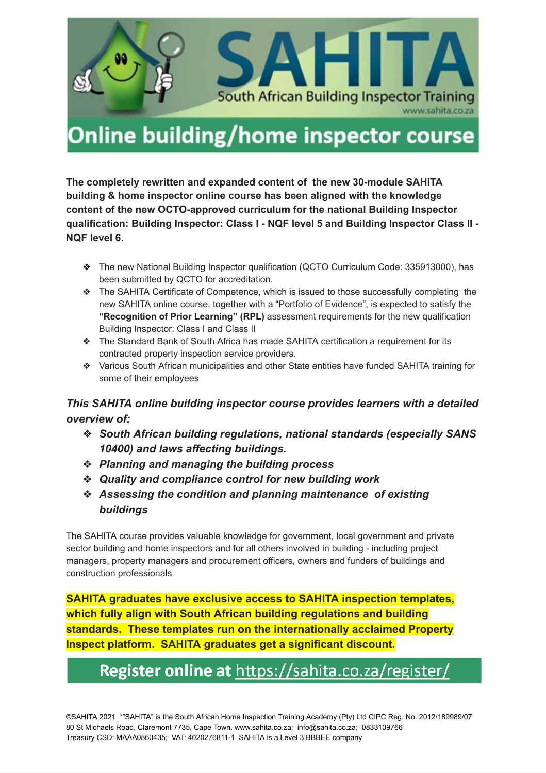

# Online building/home inspector course

**The completely rewritten and expanded content of the new 30-module SAHITA building & home inspector online course has been aligned with the knowledge content of the new OCTO-approved curriculum for the national Building Inspector qualification: Building Inspector: Class I - NQF level 5 and Building Inspector Class II - NQF level 6.**

- ❖ The new National Building Inspector qualification (QCTO Curriculum Code: 335913000), has been submitted by QCTO for accreditation.
- ❖ The SAHITA Certificate of Competence, which is issued to those successfully completing the new SAHITA online course, together with a "Portfolio of Evidence", is expected to satisfy the **"Recognition of Prior Learning" (RPL)** assessment requirements for the new qualification Building Inspector: Class I and Class II
- ❖ The Standard Bank of South Africa has made SAHITA certification a requirement for its contracted property inspection service providers.
- ❖ Various South African municipalities and other State entities have funded SAHITA training for some of their employees

#### *This SAHITA online building inspector course provides learners with a detailed overview of:*

- ❖ *South African building regulations, national standards (especially SANS 10400) and laws affecting buildings.*
- ❖ *Planning and managing the building process*
- ❖ *Quality and compliance control for new building work*
- ❖ *Assessing the condition and planning maintenance of existing buildings*

The SAHITA course provides valuable knowledge for government, local government and private sector building and home inspectors and for all others involved in building - including project managers, property managers and procurement officers, owners and funders of buildings and construction professionals

**SAHITA graduates have exclusive access to SAHITA inspection templates, which fully align with South African building regulations and building standards. These templates run on the internationally acclaimed Property Inspect platform. SAHITA graduates get a significant discount.**

### Register online at https://sahita.co.za/register/

©SAHITA 2021 \*"SAHITA" is the South African Home Inspection Training Academy (Pty) Ltd CIPC Reg. No. 2012/189989/07 80 St Michaels Road, Claremont 7735, Cape Town. [www.sahita.co.za;](http://www.sahita.co.za/) [info@sahita.co.za](mailto:info@sahita.co.za); 0833109766 Treasury CSD: MAAA0860435; VAT: 4020276811-1 SAHITA is a Level 3 BBBEE company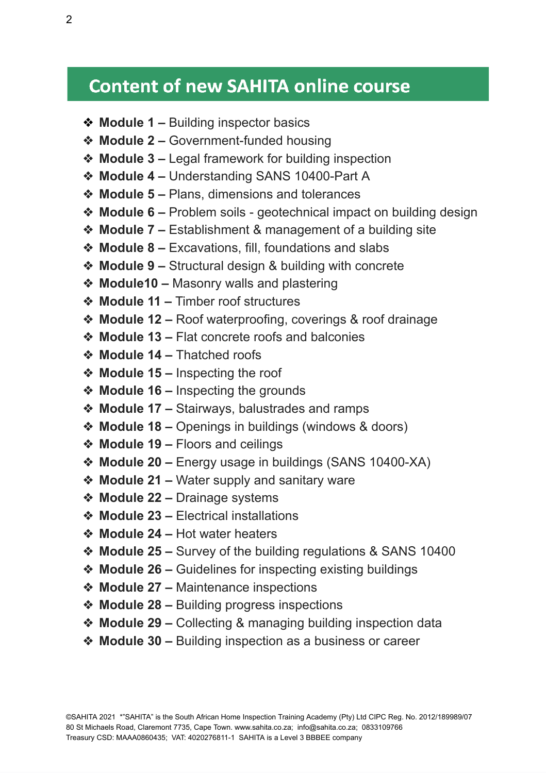# **Content of new SAHITA online course**

- ❖ **Module 1 –** Building inspector basics
- ❖ **Module 2 –** Government-funded housing
- ❖ **Module 3 –** Legal framework for building inspection
- ❖ **Module 4 –** Understanding SANS 10400-Part A
- ❖ **Module 5 –** Plans, dimensions and tolerances
- ❖ **Module 6 –** Problem soils geotechnical impact on building design
- ❖ **Module 7 –** Establishment & management of a building site
- ❖ **Module 8 –** Excavations, fill, foundations and slabs
- ❖ **Module 9 –** Structural design & building with concrete
- ❖ **Module10 –** Masonry walls and plastering
- ❖ **Module 11 –** Timber roof structures
- ❖ **Module 12 –** Roof waterproofing, coverings & roof drainage
- ❖ **Module 13 –** Flat concrete roofs and balconies
- ❖ **Module 14 –** Thatched roofs
- ❖ **Module 15 –** Inspecting the roof
- ❖ **Module 16 –** Inspecting the grounds
- ❖ **Module 17 –** Stairways, balustrades and ramps
- ❖ **Module 18 –** Openings in buildings (windows & doors)
- ❖ **Module 19 –** Floors and ceilings
- ❖ **Module 20 –** Energy usage in buildings (SANS 10400-XA)
- ❖ **Module 21 –** Water supply and sanitary ware
- ❖ **Module 22 –** Drainage systems
- ❖ **Module 23 –** Electrical installations
- ❖ **Module 24 –** Hot water heaters
- ❖ **Module 25 –** Survey of the building regulations & SANS 10400
- ❖ **Module 26 –** Guidelines for inspecting existing buildings
- ❖ **Module 27 –** Maintenance inspections
- ❖ **Module 28 –** Building progress inspections
- ❖ **Module 29 –** Collecting & managing building inspection data
- ❖ **Module 30 –** Building inspection as a business or career